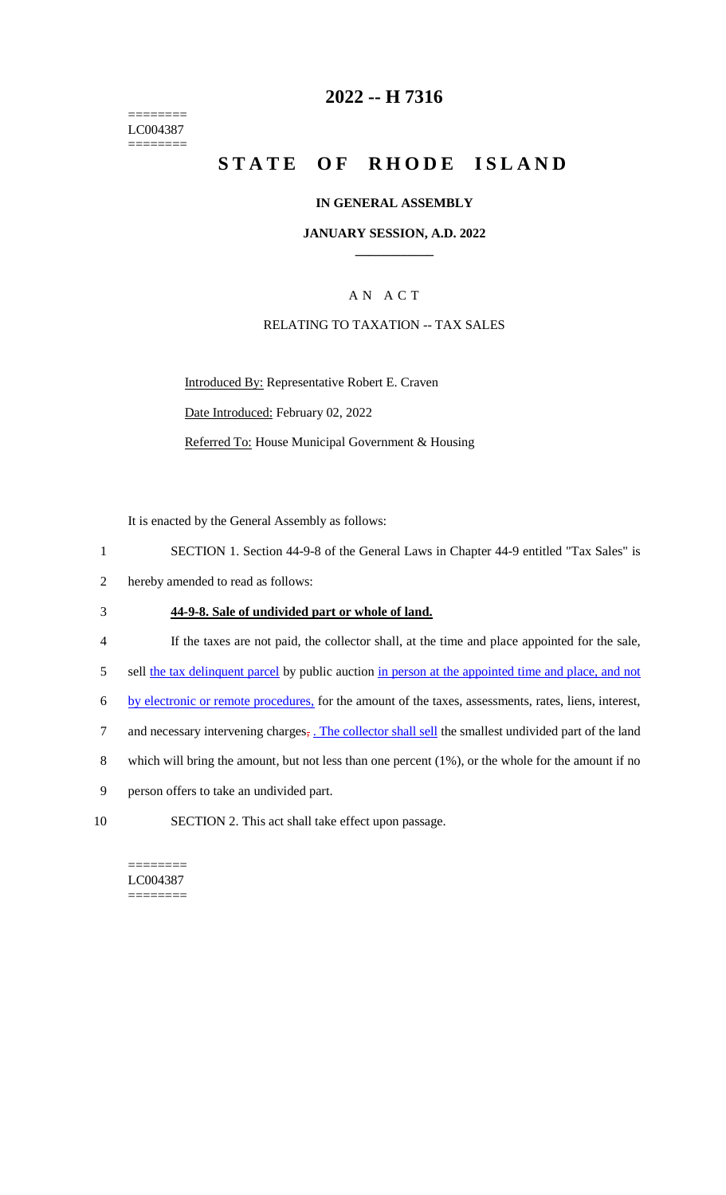======== LC004387 ========

### **2022 -- H 7316**

# **STATE OF RHODE ISLAND**

#### **IN GENERAL ASSEMBLY**

#### **JANUARY SESSION, A.D. 2022 \_\_\_\_\_\_\_\_\_\_\_\_**

### A N A C T

#### RELATING TO TAXATION -- TAX SALES

Introduced By: Representative Robert E. Craven Date Introduced: February 02, 2022 Referred To: House Municipal Government & Housing

It is enacted by the General Assembly as follows:

- 1 SECTION 1. Section 44-9-8 of the General Laws in Chapter 44-9 entitled "Tax Sales" is
- 2 hereby amended to read as follows:

#### 3 **44-9-8. Sale of undivided part or whole of land.**

- 4 If the taxes are not paid, the collector shall, at the time and place appointed for the sale,
- 5 sell the tax delinquent parcel by public auction in person at the appointed time and place, and not
- 6 by electronic or remote procedures, for the amount of the taxes, assessments, rates, liens, interest,
- 7 and necessary intervening charges, . The collector shall sell the smallest undivided part of the land
- 8 which will bring the amount, but not less than one percent (1%), or the whole for the amount if no
- 9 person offers to take an undivided part.
- 10 SECTION 2. This act shall take effect upon passage.

======== LC004387 ========